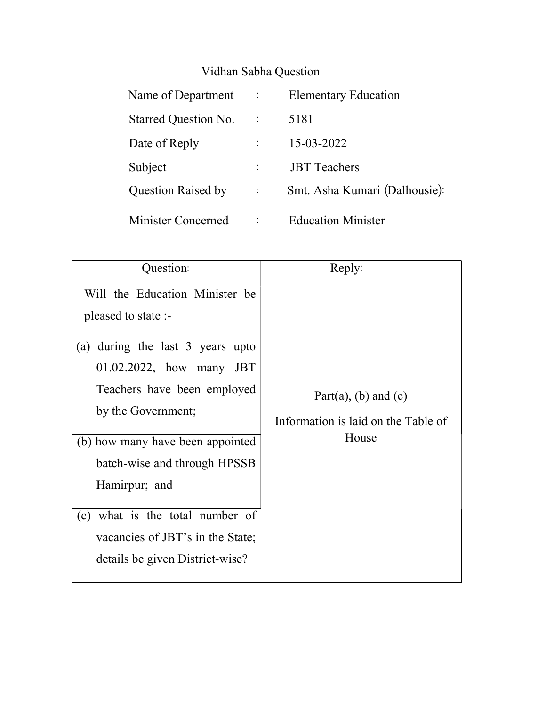## Vidhan Sabha Question

| Name of Department :      |                       | <b>Elementary Education</b>   |
|---------------------------|-----------------------|-------------------------------|
| Starred Question No.      | $\sim 10^6$           | 5181                          |
| Date of Reply             |                       | 15-03-2022                    |
| Subject                   |                       | <b>JBT</b> Teachers           |
| <b>Question Raised by</b> | $\mathbb{C}^{\times}$ | Smt. Asha Kumari (Dalhousie): |
| Minister Concerned        |                       | <b>Education Minister</b>     |

| Question:                                                                                                                                                                                   | Reply:                                                      |  |
|---------------------------------------------------------------------------------------------------------------------------------------------------------------------------------------------|-------------------------------------------------------------|--|
| Will the Education Minister be<br>pleased to state :-<br>during the last 3 years upto<br>(a)<br>01.02.2022, how many JBT<br>Teachers have been employed<br>by the Government;               | Part(a), (b) and (c)<br>Information is laid on the Table of |  |
| (b) how many have been appointed<br>batch-wise and through HPSSB<br>Hamirpur; and<br>(c) what is the total number of<br>vacancies of JBT's in the State;<br>details be given District-wise? | House                                                       |  |